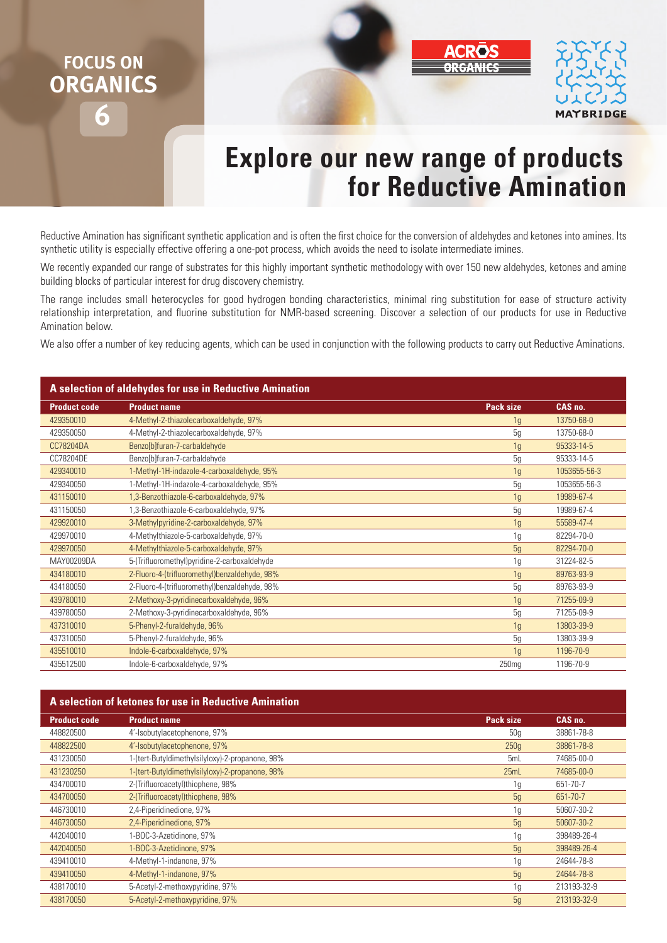## **FOCUS ON ORGANICS**



## **Explore our new range of products for Reductive Amination**

Reductive Amination has significant synthetic application and is often the first choice for the conversion of aldehydes and ketones into amines. Its synthetic utility is especially effective offering a one-pot process, which avoids the need to isolate intermediate imines.

We recently expanded our range of substrates for this highly important synthetic methodology with over 150 new aldehydes, ketones and amine building blocks of particular interest for drug discovery chemistry.

The range includes small heterocycles for good hydrogen bonding characteristics, minimal ring substitution for ease of structure activity relationship interpretation, and fluorine substitution for NMR-based screening. Discover a selection of our products for use in Reductive Amination below.

We also offer a number of key reducing agents, which can be used in conjunction with the following products to carry out Reductive Aminations.

| A selection of aldehydes for use in Reductive Amination |                                               |                   |              |
|---------------------------------------------------------|-----------------------------------------------|-------------------|--------------|
| <b>Product code</b>                                     | <b>Product name</b>                           | <b>Pack size</b>  | CAS no.      |
| 429350010                                               | 4-Methyl-2-thiazolecarboxaldehyde, 97%        | 1g                | 13750-68-0   |
| 429350050                                               | 4-Methyl-2-thiazolecarboxaldehyde, 97%        | 5g                | 13750-68-0   |
| CC78204DA                                               | Benzo[b]furan-7-carbaldehyde                  | 1 <sub>q</sub>    | 95333-14-5   |
| CC78204DE                                               | Benzo[b]furan-7-carbaldehyde                  | 5g                | 95333-14-5   |
| 429340010                                               | 1-Methyl-1H-indazole-4-carboxaldehyde, 95%    | 1 <sub>g</sub>    | 1053655-56-3 |
| 429340050                                               | 1-Methyl-1H-indazole-4-carboxaldehyde, 95%    | 5g                | 1053655-56-3 |
| 431150010                                               | 1,3-Benzothiazole-6-carboxaldehyde, 97%       | 1g                | 19989-67-4   |
| 431150050                                               | 1,3-Benzothiazole-6-carboxaldehyde, 97%       | 5g                | 19989-67-4   |
| 429920010                                               | 3-Methylpyridine-2-carboxaldehyde, 97%        | 1g                | 55589-47-4   |
| 429970010                                               | 4-Methylthiazole-5-carboxaldehyde, 97%        | 1 <sub>g</sub>    | 82294-70-0   |
| 429970050                                               | 4-Methylthiazole-5-carboxaldehyde, 97%        | 5g                | 82294-70-0   |
| MAY00209DA                                              | 5-(Trifluoromethyl)pyridine-2-carboxaldehyde  | 1g                | 31224-82-5   |
| 434180010                                               | 2-Fluoro-4-(trifluoromethyl)benzaldehyde, 98% | 1g                | 89763-93-9   |
| 434180050                                               | 2-Fluoro-4-(trifluoromethyl)benzaldehyde, 98% | 5g                | 89763-93-9   |
| 439780010                                               | 2-Methoxy-3-pyridinecarboxaldehyde, 96%       | 1g                | 71255-09-9   |
| 439780050                                               | 2-Methoxy-3-pyridinecarboxaldehyde, 96%       | 5g                | 71255-09-9   |
| 437310010                                               | 5-Phenyl-2-furaldehyde, 96%                   | 1 <sub>g</sub>    | 13803-39-9   |
| 437310050                                               | 5-Phenyl-2-furaldehyde, 96%                   | 5g                | 13803-39-9   |
| 435510010                                               | Indole-6-carboxaldehyde, 97%                  | 1 <sub>q</sub>    | 1196-70-9    |
| 435512500                                               | Indole-6-carboxaldehyde, 97%                  | 250 <sub>mg</sub> | 1196-70-9    |

| A selection of ketones for use in Reductive Amination |                                                 |                |             |
|-------------------------------------------------------|-------------------------------------------------|----------------|-------------|
| <b>Product code</b>                                   | <b>Product name</b>                             | Pack size      | CAS no.     |
| 448820500                                             | 4'-Isobutylacetophenone, 97%                    | 50a            | 38861-78-8  |
| 448822500                                             | 4'-Isobutylacetophenone, 97%                    | 250q           | 38861-78-8  |
| 431230050                                             | 1-(tert-Butyldimethylsilyloxy)-2-propanone, 98% | 5mL            | 74685-00-0  |
| 431230250                                             | 1-(tert-Butyldimethylsilyloxy)-2-propanone, 98% | 25mL           | 74685-00-0  |
| 434700010                                             | 2-(Trifluoroacetyl)thiophene, 98%               | 1g             | 651-70-7    |
| 434700050                                             | 2-(Trifluoroacetyl)thiophene, 98%               | 5g             | 651-70-7    |
| 446730010                                             | 2,4-Piperidinedione, 97%                        | 1g             | 50607-30-2  |
| 446730050                                             | 2,4-Piperidinedione, 97%                        | 5g             | 50607-30-2  |
| 442040010                                             | I-BOC-3-Azetidinone, 97%                        | 1 <sub>q</sub> | 398489-26-4 |
| 442040050                                             | 1-BOC-3-Azetidinone, 97%                        | 5g             | 398489-26-4 |
| 439410010                                             | 4-Methyl-1-indanone, 97%                        | 1 <sub>q</sub> | 24644-78-8  |
| 439410050                                             | 4-Methyl-1-indanone, 97%                        | 5g             | 24644-78-8  |
| 438170010                                             | 5-Acetyl-2-methoxypyridine, 97%                 | 1g             | 213193-32-9 |
| 438170050                                             | 5-Acetyl-2-methoxypyridine, 97%                 | 5g             | 213193-32-9 |